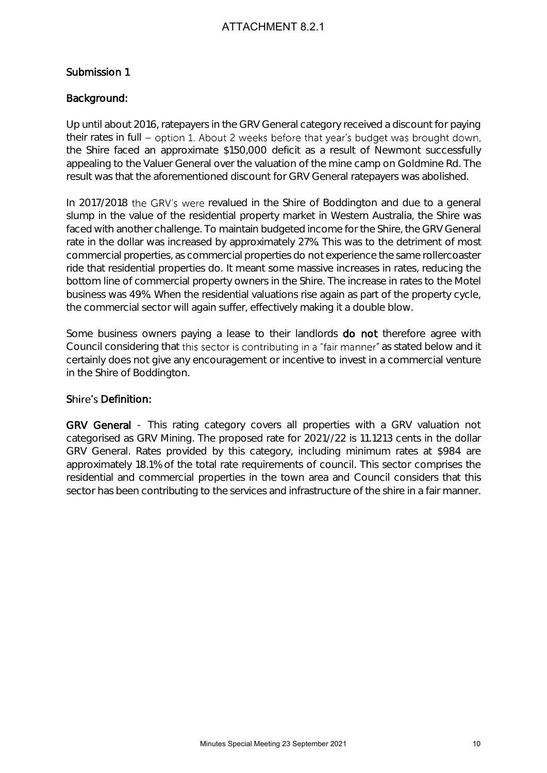#### Submission 1

#### Background:

Up until about 2016, ratepayers in the GRV General category received a discount for paying their rates in full - option 1. About 2 weeks before that year's budget was brought down, the Shire faced an approximate \$150,000 deficit as a result of Newmont successfully appealing to the Valuer General over the valuation of the mine camp on Goldmine Rd. The result was that the aforementioned discount for GRV General ratepayers was abolished.

In 2017/2018 the GRV's were revalued in the Shire of Boddington and due to a general slump in the value of the residential property market in Western Australia, the Shire was faced with another challenge. To maintain budgeted income for the Shire, the GRV General rate in the dollar was increased by approximately 27%. This was to the detriment of most commercial properties, as commercial properties do not experience the same rollercoaster ride that residential properties do. It meant some massive increases in rates, reducing the bottom line of commercial property owners in the Shire. The increase in rates to the Motel business was 49%. When the residential valuations rise again as part of the property cycle, the commercial sector will again suffer, effectively making it a double blow. is the GRV General category received a discount for paying<br>the histon of 2 weeks before that year's budget was brought down,<br>the ST60,000 defict as a result of Newmont successfully<br>rate ST60,000 defict as a result of Newmo

Some business owners paying a lease to their landlords **do not** therefore agree with Council considering that this sector is contributing in a "fair manner" as stated below and it certainly does not give any encouragement or incentive to invest in a commercial venture in the Shire of Boddington.

#### Shire's Definition:

GRV General - This rating category covers all properties with a GRV valuation not categorised as GRV Mining. The proposed rate for 2021//22 is 11.1213 cents in the dollar GRV General. Rates provided by this category, including minimum rates at \$984 are approximately 18.1% of the total rate requirements of council. This sector comprises the residential and commercial properties in the town area and Council considers that this sector has been contributing to the services and infrastructure of the shire in a fair manner.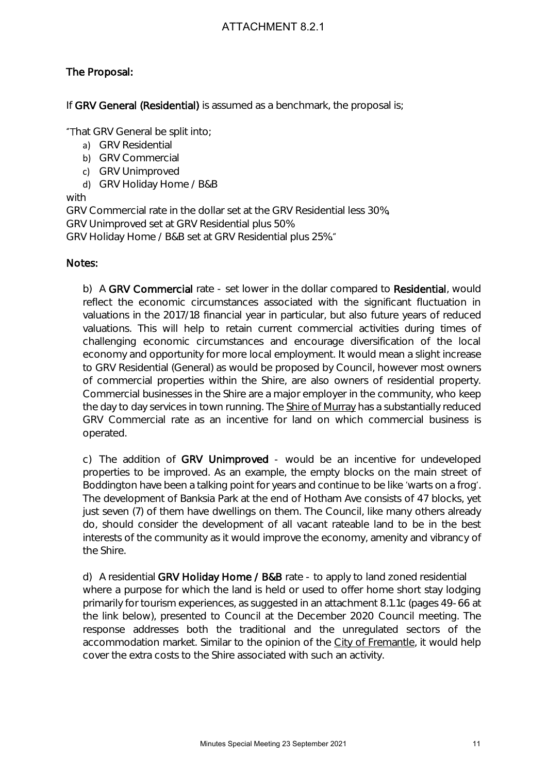#### The Proposal:

If GRV General (Residential) is assumed as a benchmark, the proposal is;

"That GRV General be split into;

- a) GRV Residential
- b) GRV Commercial
- c) GRV Unimproved
- d) GRV Holiday Home / B&B

with

GRV Commercial rate in the dollar set at the GRV Residential less 30%,

GRV Unimproved set at GRV Residential plus 50%

GRV Holiday Home / B&B set at GRV Residential plus 25%.

#### Notes:

b) A GRV Commercial rate - set lower in the dollar compared to Residential, would reflect the economic circumstances associated with the significant fluctuation in valuations in the 2017/18 financial year in particular, but also future years of reduced valuations. This will help to retain current commercial activities during times of challenging economic circumstances and encourage diversification of the local economy and opportunity for more local employment. It would mean a slight increase to GRV Residential (General) as would be proposed by Council, however most owners of commercial properties within the Shire, are also owners of residential property. Commercial businesses in the Shire are a major employer in the community, who keep the day to day services in town running. The Shire of Murray has a substantially reduced GRV Commercial rate as an incentive for land on which commercial business is operated. ATTACHMENT 8.2.1<br>
Sassumed as a benchmark, the proposal is:<br>
Note:<br>
Note:<br>
Note:<br>
Note:<br>
Note:<br>
Note:<br>
Note:<br>
Note:<br>
Note:<br>
Note:<br>
Note:<br>
Note:<br>
Note:<br>
Note:<br>
Note:<br>
Note:<br>
Note:<br>
Note:<br>
Note:<br>
Note:<br>
Note:<br>
Note:<br>
Note:<br>

c) The addition of GRV Unimproved - would be an incentive for undeveloped properties to be improved. As an example, the empty blocks on the main street of Boddington have been a talking point for years and continue to be like 'warts on a frog'. The development of Banksia Park at the end of Hotham Ave consists of 47 blocks, yet just seven (7) of them have dwellings on them. The Council, like many others already do, should consider the development of all vacant rateable land to be in the best interests of the community as it would improve the economy, amenity and vibrancy of the Shire.

d) A residential GRV Holiday Home / B&B rate - to apply to land zoned residential where a purpose for which the land is held or used to offer home short stay lodging primarily for tourism experiences, as suggested in an attachment 8.1.1c (pages 49-66 at the link below), presented to Council at the December 2020 Council meeting. The response addresses both the traditional and the unregulated sectors of the accommodation market. Similar to the opinion of the City of Fremantle, it would help cover the extra costs to the Shire associated with such an activity.